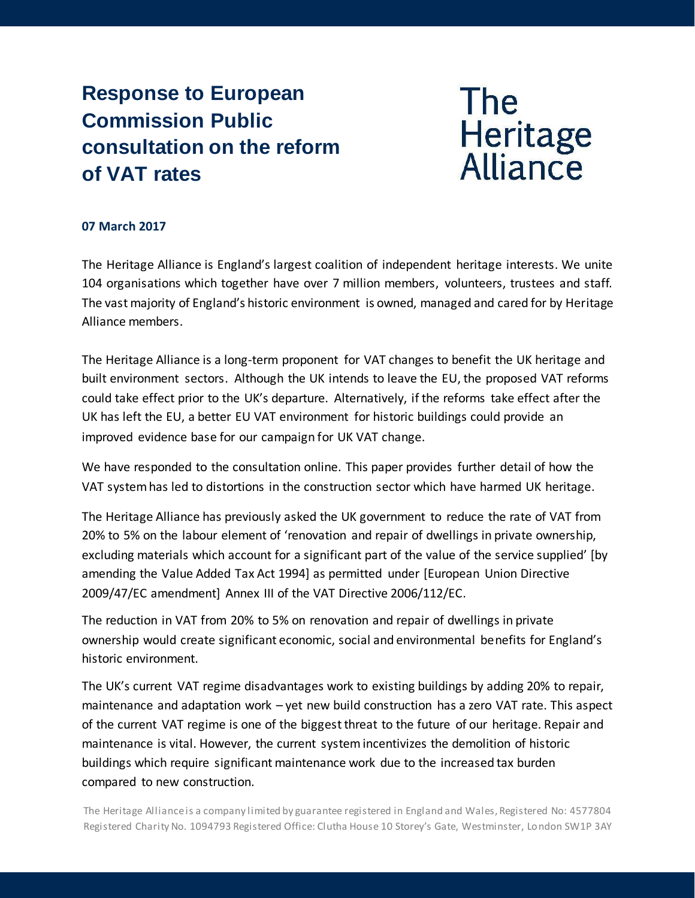# **Response to European Commission Public consultation on the reform of VAT rates**

**The** Heritage<br>Alliance

## **07 March 2017**

The Heritage Alliance is England's largest coalition of independent heritage interests. We unite 104 organisations which together have over 7 million members, volunteers, trustees and staff. The vast majority of England's historic environment is owned, managed and cared for by Heritage Alliance members.

The Heritage Alliance is a long-term proponent for VAT changes to benefit the UK heritage and built environment sectors. Although the UK intends to leave the EU, the proposed VAT reforms could take effect prior to the UK's departure. Alternatively, if the reforms take effect after the UK has left the EU, a better EU VAT environment for historic buildings could provide an improved evidence base for our campaign for UK VAT change.

We have responded to the consultation online. This paper provides further detail of how the VAT system has led to distortions in the construction sector which have harmed UK heritage.

The Heritage Alliance has previously asked the UK government to reduce the rate of VAT from 20% to 5% on the labour element of 'renovation and repair of dwellings in private ownership, excluding materials which account for a significant part of the value of the service supplied' [by amending the Value Added Tax Act 1994] as permitted under [European Union Directive 2009/47/EC amendment] Annex III of the VAT Directive 2006/112/EC.

The reduction in VAT from 20% to 5% on renovation and repair of dwellings in private ownership would create significant economic, social and environmental benefits for England's historic environment.

The UK's current VAT regime disadvantages work to existing buildings by adding 20% to repair, maintenance and adaptation work – yet new build construction has a zero VAT rate. This aspect of the current VAT regime is one of the biggest threat to the future of our heritage. Repair and maintenance is vital. However, the current system incentivizes the demolition of historic buildings which require significant maintenance work due to the increased tax burden compared to new construction.

The Heritage Alliance is a company limited by guarantee registered in England and Wales, Registered No: 4577804 Registered Charity No. 1094793 Registered Office: Clutha House 10 Storey's Gate, Westminster, London SW1P 3AY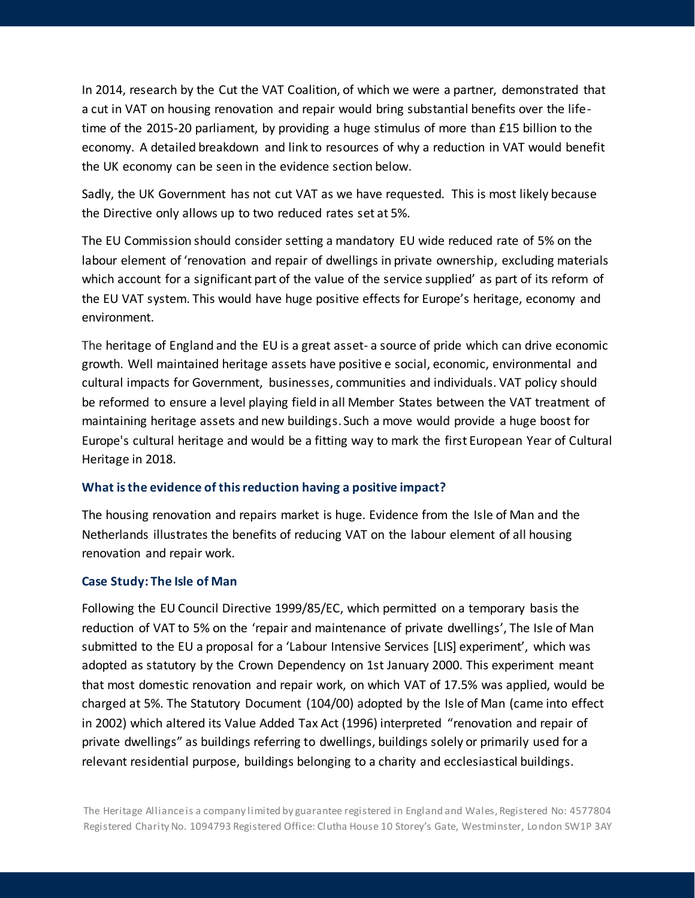In 2014, research by the Cut the VAT Coalition, of which we were a partner, demonstrated that a cut in VAT on housing renovation and repair would bring substantial benefits over the lifetime of the 2015-20 parliament, by providing a huge stimulus of more than £15 billion to the economy. A detailed breakdown and link to resources of why a reduction in VAT would benefit the UK economy can be seen in the evidence section below.

Sadly, the UK Government has not cut VAT as we have requested. This is most likely because the Directive only allows up to two reduced rates set at 5%.

The EU Commission should consider setting a mandatory EU wide reduced rate of 5% on the labour element of 'renovation and repair of dwellings in private ownership, excluding materials which account for a significant part of the value of the service supplied' as part of its reform of the EU VAT system. This would have huge positive effects for Europe's heritage, economy and environment.

The heritage of England and the EU is a great asset- a source of pride which can drive economic growth. Well maintained heritage assets have positive e social, economic, environmental and cultural impacts for Government, businesses, communities and individuals. VAT policy should be reformed to ensure a level playing field in all Member States between the VAT treatment of maintaining heritage assets and new buildings. Such a move would provide a huge boost for Europe's cultural heritage and would be a fitting way to mark the first European Year of Cultural Heritage in 2018.

#### **What is the evidence of this reduction having a positive impact?**

The housing renovation and repairs market is huge. Evidence from the Isle of Man and the Netherlands illustrates the benefits of reducing VAT on the labour element of all housing renovation and repair work.

#### **Case Study: The Isle of Man**

Following the EU Council Directive 1999/85/EC, which permitted on a temporary basis the reduction of VAT to 5% on the 'repair and maintenance of private dwellings', The Isle of Man submitted to the EU a proposal for a 'Labour Intensive Services [LIS] experiment', which was adopted as statutory by the Crown Dependency on 1st January 2000. This experiment meant that most domestic renovation and repair work, on which VAT of 17.5% was applied, would be charged at 5%. The Statutory Document (104/00) adopted by the Isle of Man (came into effect in 2002) which altered its Value Added Tax Act (1996) interpreted "renovation and repair of private dwellings" as buildings referring to dwellings, buildings solely or primarily used for a relevant residential purpose, buildings belonging to a charity and ecclesiastical buildings.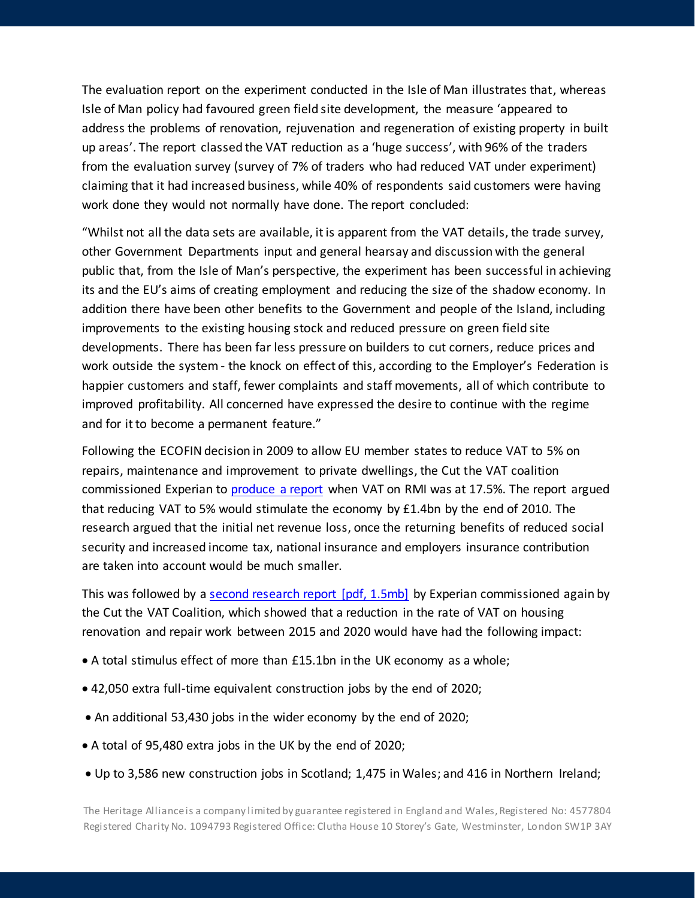The evaluation report on the experiment conducted in the Isle of Man illustrates that, whereas Isle of Man policy had favoured green field site development, the measure 'appeared to address the problems of renovation, rejuvenation and regeneration of existing property in built up areas'. The report classed the VAT reduction as a 'huge success', with 96% of the traders from the evaluation survey (survey of 7% of traders who had reduced VAT under experiment) claiming that it had increased business, while 40% of respondents said customers were having work done they would not normally have done. The report concluded:

"Whilst not all the data sets are available, it is apparent from the VAT details, the trade survey, other Government Departments input and general hearsay and discussion with the general public that, from the Isle of Man's perspective, the experiment has been successful in achieving its and the EU's aims of creating employment and reducing the size of the shadow economy. In addition there have been other benefits to the Government and people of the Island, including improvements to the existing housing stock and reduced pressure on green field site developments. There has been far less pressure on builders to cut corners, reduce prices and work outside the system - the knock on effect of this, according to the Employer's Federation is happier customers and staff, fewer complaints and staff movements, all of which contribute to improved profitability. All concerned have expressed the desire to continue with the regime and for it to become a permanent feature."

Following the ECOFIN decision in 2009 to allow EU member states to reduce VAT to 5% on repairs, maintenance and improvement to private dwellings, the Cut the VAT coalition commissioned Experian to [produce a report](https://www.architecture.com/Files/RIBAHoldings/PolicyAndInternationalRelations/Policy/PublicAffairs/CuttheVATexperianreport.pdf) when VAT on RMI was at 17.5%. The report argued that reducing VAT to 5% would stimulate the economy by £1.4bn by the end of 2010. The research argued that the initial net revenue loss, once the returning benefits of reduced social security and increased income tax, national insurance and employers insurance contribution are taken into account would be much smaller.

This was followed by [a second research report \[pdf, 1.5mb\]](http://resources.fmb.org.uk/docs/VATResearchFinal.pdf) by Experian commissioned again by the Cut the VAT Coalition, which showed that a reduction in the rate of VAT on housing renovation and repair work between 2015 and 2020 would have had the following impact:

- A total stimulus effect of more than £15.1bn in the UK economy as a whole;
- 42,050 extra full-time equivalent construction jobs by the end of 2020;
- An additional 53,430 jobs in the wider economy by the end of 2020;
- A total of 95,480 extra jobs in the UK by the end of 2020;
- Up to 3,586 new construction jobs in Scotland; 1,475 in Wales; and 416 in Northern Ireland;

The Heritage Alliance is a company limited by guarantee registered in England and Wales, Registered No: 4577804 Registered Charity No. 1094793 Registered Office: Clutha House 10 Storey's Gate, Westminster, London SW1P 3AY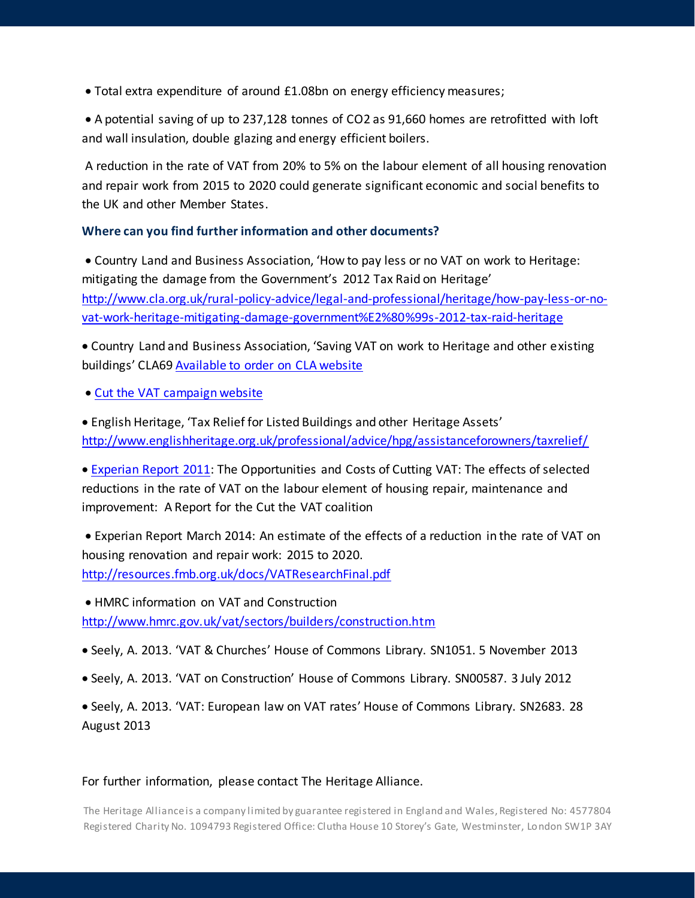• Total extra expenditure of around £1.08bn on energy efficiency measures;

• A potential saving of up to 237,128 tonnes of CO2 as 91,660 homes are retrofitted with loft and wall insulation, double glazing and energy efficient boilers.

A reduction in the rate of VAT from 20% to 5% on the labour element of all housing renovation and repair work from 2015 to 2020 could generate significant economic and social benefits to the UK and other Member States.

## **Where can you find further information and other documents?**

• Country Land and Business Association, 'How to pay less or no VAT on work to Heritage: mitigating the damage from the Government's 2012 Tax Raid on Heritage' [http://www.cla.org.uk/rural-policy-advice/legal-and-professional/heritage/how-pay-less-or-no](http://www.cla.org.uk/rural-policy-advice/legal-and-professional/heritage/how-pay-less-or-no-vat-work-heritage-mitigating-damage-government%E2%80%99s-2012-tax-raid-heritage)[vat-work-heritage-mitigating-damage-government%E2%80%99s-2012-tax-raid-heritage](http://www.cla.org.uk/rural-policy-advice/legal-and-professional/heritage/how-pay-less-or-no-vat-work-heritage-mitigating-damage-government%E2%80%99s-2012-tax-raid-heritage)

• Country Land and Business Association, 'Saving VAT on work to Heritage and other existing buildings' CLA69 [Available to order on CLA website](http://www.cla.org.uk/rural-policy-advice/legal-and-professional/heritage/advisory-handbook/cla69-saving-vat-work-heritage-and-other-existing-buildings)

• [Cut the VAT campaign website](https://www.fmb.org.uk/about-the-fmb/policy-and-public-affairs/domestic-refurbishment-and-energy-efficiency/)

• English Heritage, 'Tax Relief for Listed Buildings and other Heritage Assets' <http://www.englishheritage.org.uk/professional/advice/hpg/assistanceforowners/taxrelief/>

• [Experian Report 2011:](http://www.architecture.com/Files/RIBAHoldings/PolicyAndInternationalRelations/Policy/PublicAffairs/CuttheVATexperianreport.pdf) The Opportunities and Costs of Cutting VAT: The effects of selected reductions in the rate of VAT on the labour element of housing repair, maintenance and improvement: A Report for the Cut the VAT coalition

• Experian Report March 2014: An estimate of the effects of a reduction in the rate of VAT on housing renovation and repair work: 2015 to 2020. <http://resources.fmb.org.uk/docs/VATResearchFinal.pdf>

• HMRC information on VAT and Construction <http://www.hmrc.gov.uk/vat/sectors/builders/construction.htm>

- Seely, A. 2013. 'VAT & Churches' House of Commons Library. SN1051. 5 November 2013
- Seely, A. 2013. 'VAT on Construction' House of Commons Library. SN00587. 3 July 2012

• Seely, A. 2013. 'VAT: European law on VAT rates' House of Commons Library. SN2683. 28 August 2013

### For further information, please contact The Heritage Alliance.

The Heritage Alliance is a company limited by guarantee registered in England and Wales, Registered No: 4577804 Registered Charity No. 1094793 Registered Office: Clutha House 10 Storey's Gate, Westminster, London SW1P 3AY